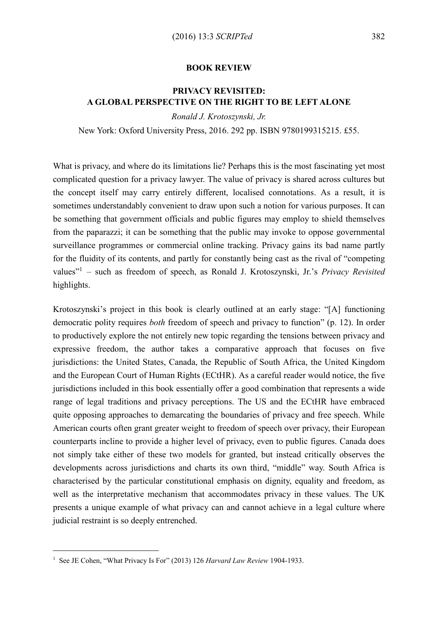## BOOK REVIEW

## PRIVACY REVISITED: A GLOBAL PERSPECTIVE ON THE RIGHT TO BE LEFT ALONE

*Ronald J. Krotoszynski, Jr.*

New York: Oxford University Press, 2016. 292 pp. ISBN 9780199315215. £55.

What is privacy, and where do its limitations lie? Perhaps this is the most fascinating yet most complicated question for a privacy lawyer. The value of privacy is shared across cultures but the concept itself may carry entirely different, localised connotations. As a result, it is sometimes understandably convenient to draw upon such a notion for various purposes. It can be something that government officials and public figures may employ to shield themselves from the paparazzi; it can be something that the public may invoke to oppose governmental surveillance programmes or commercial online tracking. Privacy gains its bad name partly for the fluidity of its contents, and partly for constantly being cast as the rival of "competing values" 1 – such as freedom of speech, as Ronald J. Krotoszynski, Jr.'s *Privacy Revisited* highlights.

Krotoszynski's project in this book is clearly outlined at an early stage: "[A] functioning democratic polity requires *both* freedom of speech and privacy to function" (p. 12). In order to productively explore the not entirely new topic regarding the tensions between privacy and expressive freedom, the author takes a comparative approach that focuses on five jurisdictions: the United States, Canada, the Republic of South Africa, the United Kingdom and the European Court of Human Rights (ECtHR). As a careful reader would notice, the five jurisdictions included in this book essentially offer a good combination that represents a wide range of legal traditions and privacy perceptions. The US and the ECtHR have embraced quite opposing approaches to demarcating the boundaries of privacy and free speech. While American courts often grant greater weight to freedom of speech over privacy, their European counterparts incline to provide a higher level of privacy, even to public figures. Canada does not simply take either of these two models for granted, but instead critically observes the developments across jurisdictions and charts its own third, "middle" way. South Africa is characterised by the particular constitutional emphasis on dignity, equality and freedom, as well as the interpretative mechanism that accommodates privacy in these values. The UK presents a unique example of what privacy can and cannot achieve in a legal culture where judicial restraint is so deeply entrenched.

-

<sup>&</sup>lt;sup>1</sup> See JE Cohen, "What Privacy Is For" (2013) 126 *Harvard Law Review* 1904-1933.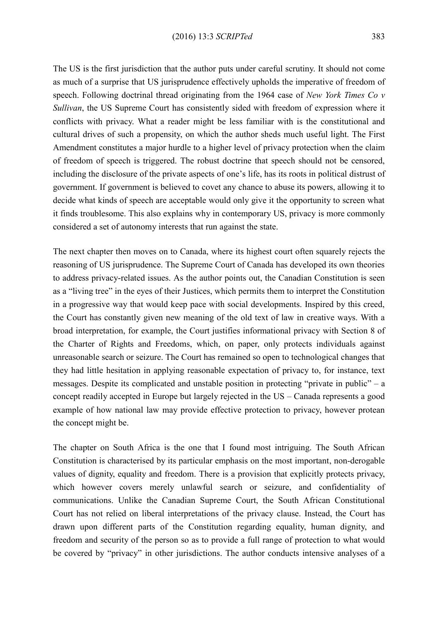The US is the first jurisdiction that the author puts under careful scrutiny. It should not come as much of a surprise that US jurisprudence effectively upholds the imperative of freedom of speech. Following doctrinal thread originating from the 1964 case of *New York Times Co v Sullivan*, the US Supreme Court has consistently sided with freedom of expression where it conflicts with privacy. What a reader might be less familiar with is the constitutional and cultural drives of such a propensity, on which the author sheds much useful light. The First Amendment constitutes a major hurdle to a higher level of privacy protection when the claim of freedom of speech is triggered. The robust doctrine that speech should not be censored, including the disclosure of the private aspects of one's life, has its roots in political distrust of government. If government is believed to covet any chance to abuse its powers, allowing it to decide what kinds of speech are acceptable would only give it the opportunity to screen what it finds troublesome. This also explains why in contemporary US, privacy is more commonly considered a set of autonomy interests that run against the state.

The next chapter then moves on to Canada, where its highest court often squarely rejects the reasoning of US jurisprudence. The Supreme Court of Canada has developed its own theories to address privacy-related issues. As the author points out, the Canadian Constitution is seen as a "living tree" in the eyes of their Justices, which permits them to interpret the Constitution in a progressive way that would keep pace with social developments. Inspired by this creed, the Court has constantly given new meaning of the old text of law in creative ways. With a broad interpretation, for example, the Court justifies informational privacy with Section 8 of the Charter of Rights and Freedoms, which, on paper, only protects individuals against unreasonable search or seizure. The Court has remained so open to technological changes that they had little hesitation in applying reasonable expectation of privacy to, for instance, text messages. Despite its complicated and unstable position in protecting "private in public" – a concept readily accepted in Europe but largely rejected in the US – Canada represents a good example of how national law may provide effective protection to privacy, however protean the concept might be.

The chapter on South Africa is the one that I found most intriguing. The South African Constitution is characterised by its particular emphasis on the most important, non-derogable values of dignity, equality and freedom. There is a provision that explicitly protects privacy, which however covers merely unlawful search or seizure, and confidentiality of communications. Unlike the Canadian Supreme Court, the South African Constitutional Court has not relied on liberal interpretations of the privacy clause. Instead, the Court has drawn upon different parts of the Constitution regarding equality, human dignity, and freedom and security of the person so as to provide a full range of protection to what would be covered by "privacy" in other jurisdictions. The author conducts intensive analyses of a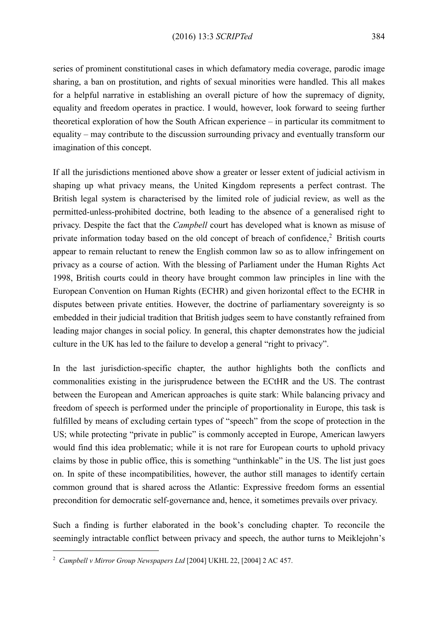series of prominent constitutional cases in which defamatory media coverage, parodic image sharing, a ban on prostitution, and rights of sexual minorities were handled. This all makes for a helpful narrative in establishing an overall picture of how the supremacy of dignity, equality and freedom operates in practice. I would, however, look forward to seeing further theoretical exploration of how the South African experience – in particular its commitment to equality – may contribute to the discussion surrounding privacy and eventually transform our imagination of this concept.

If all the jurisdictions mentioned above show a greater or lesser extent of judicial activism in shaping up what privacy means, the United Kingdom represents a perfect contrast. The British legal system is characterised by the limited role of judicial review, as well as the permitted-unless-prohibited doctrine, both leading to the absence of a generalised right to privacy. Despite the fact that the *Campbell* court has developed what is known as misuse of private information today based on the old concept of breach of confidence,<sup>2</sup> British courts appear to remain reluctant to renew the English common law so as to allow infringement on privacy as a course of action. With the blessing of Parliament under the Human Rights Act 1998, British courts could in theory have brought common law principles in line with the European Convention on Human Rights (ECHR) and given horizontal effect to the ECHR in disputes between private entities. However, the doctrine of parliamentary sovereignty is so embedded in their judicial tradition that British judges seem to have constantly refrained from leading major changes in social policy. In general, this chapter demonstrates how the judicial culture in the UK has led to the failure to develop a general "right to privacy".

In the last jurisdiction-specific chapter, the author highlights both the conflicts and commonalities existing in the jurisprudence between the ECtHR and the US. The contrast between the European and American approaches is quite stark: While balancing privacy and freedom of speech is performed under the principle of proportionality in Europe, this task is fulfilled by means of excluding certain types of "speech" from the scope of protection in the US; while protecting "private in public" is commonly accepted in Europe, American lawyers would find this idea problematic; while it is not rare for European courts to uphold privacy claims by those in public office, this is something "unthinkable" in the US. The list just goes on. In spite of these incompatibilities, however, the author still manages to identify certain common ground that is shared across the Atlantic: Expressive freedom forms an essential precondition for democratic self-governance and, hence, it sometimes prevails over privacy.

Such a finding is further elaborated in the book's concluding chapter. To reconcile the seemingly intractable conflict between privacy and speech, the author turns to Meiklejohn's

-

<sup>2</sup> *Campbell v Mirror Group Newspapers Ltd* [2004] UKHL 22, [2004] 2 AC 457.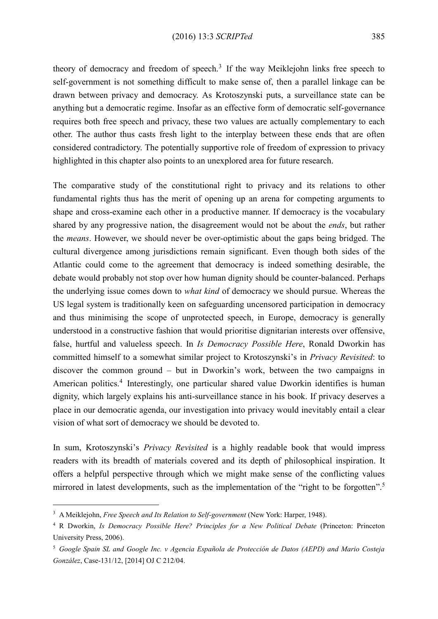theory of democracy and freedom of speech.<sup>3</sup> If the way Meiklejohn links free speech to self-government is not something difficult to make sense of, then a parallel linkage can be drawn between privacy and democracy. As Krotoszynski puts, a surveillance state can be anything but a democratic regime. Insofar as an effective form of democratic self-governance requires both free speech and privacy, these two values are actually complementary to each other. The author thus casts fresh light to the interplay between these ends that are often considered contradictory. The potentially supportive role of freedom of expression to privacy highlighted in this chapter also points to an unexplored area for future research.

The comparative study of the constitutional right to privacy and its relations to other fundamental rights thus has the merit of opening up an arena for competing arguments to shape and cross-examine each other in a productive manner. If democracy is the vocabulary shared by any progressive nation, the disagreement would not be about the *ends*, but rather the *means*. However, we should never be over-optimistic about the gaps being bridged. The cultural divergence among jurisdictions remain significant. Even though both sides of the Atlantic could come to the agreement that democracy is indeed something desirable, the debate would probably not stop over how human dignity should be counter-balanced. Perhaps the underlying issue comes down to *what kind* of democracy we should pursue. Whereas the US legal system is traditionally keen on safeguarding uncensored participation in democracy and thus minimising the scope of unprotected speech, in Europe, democracy is generally understood in a constructive fashion that would prioritise dignitarian interests over offensive, false, hurtful and valueless speech. In *Is Democracy Possible Here*, Ronald Dworkin has committed himself to a somewhat similar project to Krotoszynski's in *Privacy Revisited*: to discover the common ground – but in Dworkin's work, between the two campaigns in American politics.<sup>4</sup> Interestingly, one particular shared value Dworkin identifies is human dignity, which largely explains his anti-surveillance stance in his book. If privacy deserves a place in our democratic agenda, our investigation into privacy would inevitably entail a clear vision of what sort of democracy we should be devoted to.

In sum, Krotoszynski's *Privacy Revisited* is a highly readable book that would impress readers with its breadth of materials covered and its depth of philosophical inspiration. It offers a helpful perspective through which we might make sense of the conflicting values mirrored in latest developments, such as the implementation of the "right to be forgotten".<sup>5</sup>

-

<sup>3</sup> A Meiklejohn, *Free Speech and Its Relation to Self-government* (New York: Harper, 1948).

<sup>4</sup> R Dworkin, *Is Democracy Possible Here? Principles for a New Political Debate* (Princeton: Princeton University Press, 2006).

<sup>5</sup> *Google Spain SL and Google Inc. v Agencia Española de Protección de Datos (AEPD) and Mario Costeja González*, Case-131/12, [2014] OJ C 212/04.